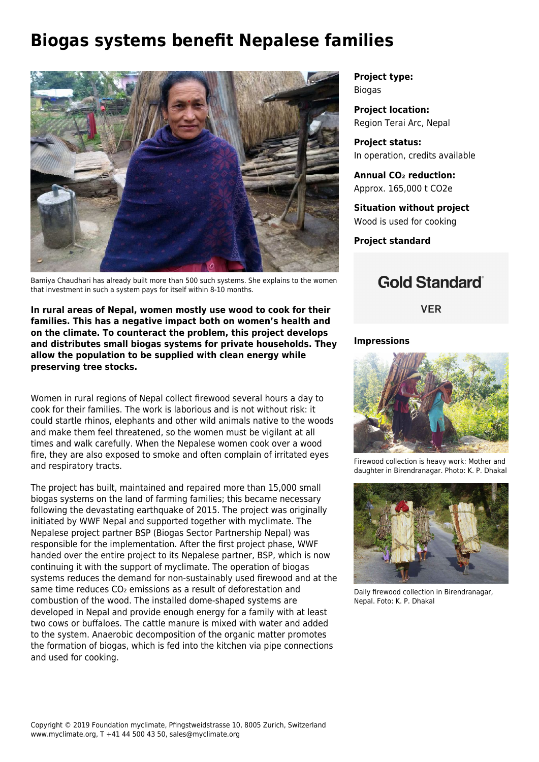# **Biogas systems benefit Nepalese families**



Bamiya Chaudhari has already built more than 500 such systems. She explains to the women that investment in such a system pays for itself within 8-10 months.

**In rural areas of Nepal, women mostly use wood to cook for their families. This has a negative impact both on women's health and on the climate. To counteract the problem, this project develops and distributes small biogas systems for private households. They allow the population to be supplied with clean energy while preserving tree stocks.**

Women in rural regions of Nepal collect firewood several hours a day to cook for their families. The work is laborious and is not without risk: it could startle rhinos, elephants and other wild animals native to the woods and make them feel threatened, so the women must be vigilant at all times and walk carefully. When the Nepalese women cook over a wood fire, they are also exposed to smoke and often complain of irritated eyes and respiratory tracts.

The project has built, maintained and repaired more than 15,000 small biogas systems on the land of farming families; this became necessary following the devastating earthquake of 2015. The project was originally initiated by WWF Nepal and supported together with myclimate. The Nepalese project partner BSP (Biogas Sector Partnership Nepal) was responsible for the implementation. After the first project phase, WWF handed over the entire project to its Nepalese partner, BSP, which is now continuing it with the support of myclimate. The operation of biogas systems reduces the demand for non-sustainably used firewood and at the same time reduces CO<sub>2</sub> emissions as a result of deforestation and combustion of the wood. The installed dome-shaped systems are developed in Nepal and provide enough energy for a family with at least two cows or buffaloes. The cattle manure is mixed with water and added to the system. Anaerobic decomposition of the organic matter promotes the formation of biogas, which is fed into the kitchen via pipe connections and used for cooking.

**Project type:** Biogas

**Project location:** Region Terai Arc, Nepal

**Project status:** In operation, credits available

**Annual CO₂ reduction:** Approx. 165,000 t CO2e

**Situation without project** Wood is used for cooking

**Project standard**

## **Gold Standard**®

**VER** 

#### **Impressions**



Firewood collection is heavy work: Mother and daughter in Birendranagar. Photo: K. P. Dhakal



Daily firewood collection in Birendranagar, Nepal. Foto: K. P. Dhakal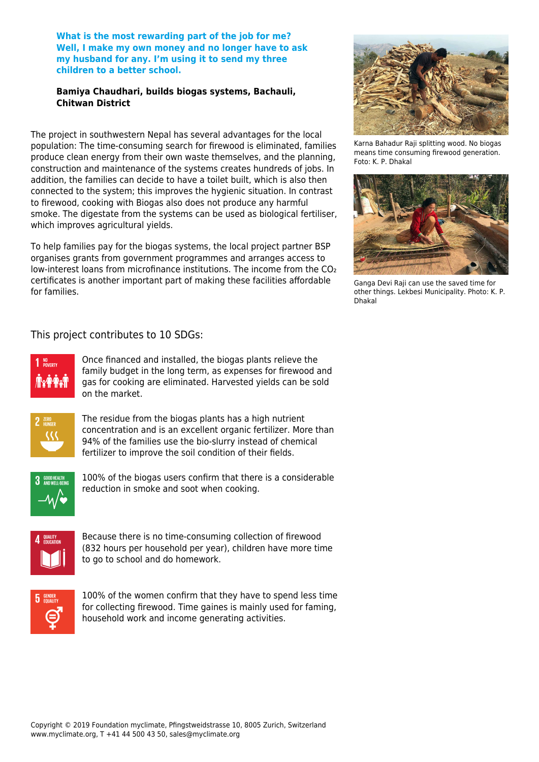**What is the most rewarding part of the job for me? Well, I make my own money and no longer have to ask my husband for any. I'm using it to send my three children to a better school.**

#### **Bamiya Chaudhari, builds biogas systems, Bachauli, Chitwan District**

The project in southwestern Nepal has several advantages for the local population: The time-consuming search for firewood is eliminated, families produce clean energy from their own waste themselves, and the planning, construction and maintenance of the systems creates hundreds of jobs. In addition, the families can decide to have a toilet built, which is also then connected to the system; this improves the hygienic situation. In contrast to firewood, cooking with Biogas also does not produce any harmful smoke. The digestate from the systems can be used as biological fertiliser, which improves agricultural yields.

To help families pay for the biogas systems, the local project partner BSP organises grants from government programmes and arranges access to low-interest loans from microfinance institutions. The income from the CO₂ certificates is another important part of making these facilities affordable for families.



Karna Bahadur Raji splitting wood. No biogas means time consuming firewood generation. Foto: K. P. Dhakal



Ganga Devi Raji can use the saved time for other things. Lekbesi Municipality. Photo: K. P. Dhakal

### This project contributes to 10 SDGs:



Once financed and installed, the biogas plants relieve the family budget in the long term, as expenses for firewood and gas for cooking are eliminated. Harvested yields can be sold on the market.



The residue from the biogas plants has a high nutrient concentration and is an excellent organic fertilizer. More than 94% of the families use the bio-slurry instead of chemical fertilizer to improve the soil condition of their fields.



100% of the biogas users confirm that there is a considerable reduction in smoke and soot when cooking.



Because there is no time-consuming collection of firewood (832 hours per household per year), children have more time to go to school and do homework.



100% of the women confirm that they have to spend less time for collecting firewood. Time gaines is mainly used for faming, household work and income generating activities.